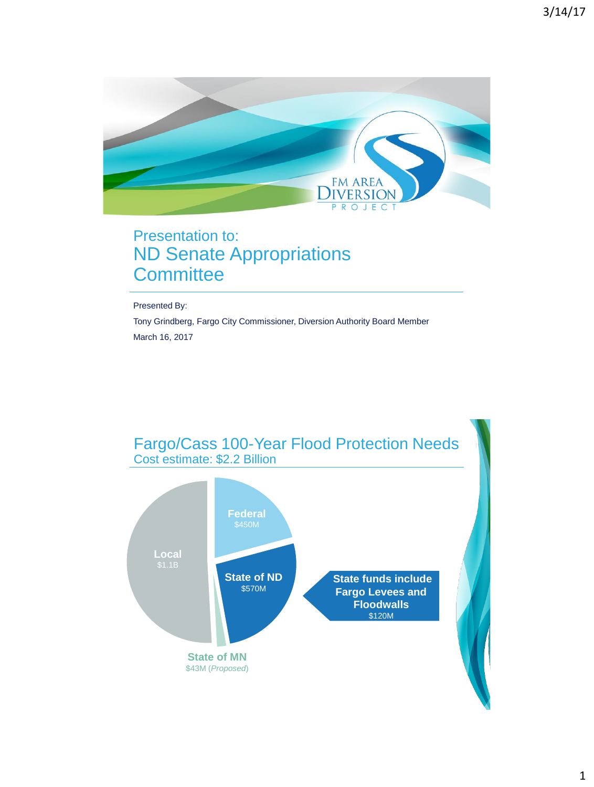

## Presentation to: ND Senate Appropriations **Committee**

Presented By:

Tony Grindberg, Fargo City Commissioner, Diversion Authority Board Member March 16, 2017

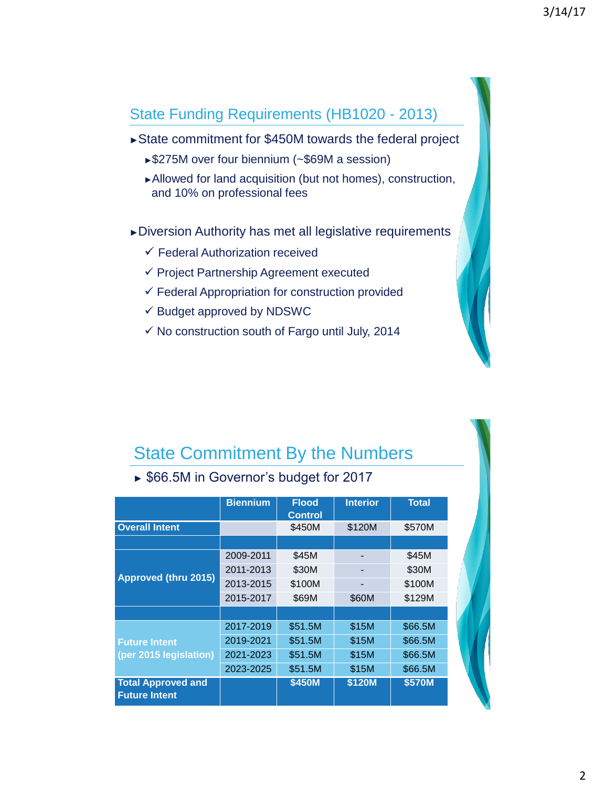### State Funding Requirements (HB1020 - 2013)

- ►State commitment for \$450M towards the federal project
	- ►\$275M over four biennium (~\$69M a session)
	- ►Allowed for land acquisition (but not homes), construction, and 10% on professional fees
- ►Diversion Authority has met all legislative requirements
	- $\checkmark$  Federal Authorization received
	- $\checkmark$  Project Partnership Agreement executed
	- $\checkmark$  Federal Appropriation for construction provided
	- $\checkmark$  Budget approved by NDSWC
	- $\checkmark$  No construction south of Fargo until July, 2014

## State Commitment By the Numbers

|  |  |  |  | ▶ \$66.5M in Governor's budget for 2017 |  |
|--|--|--|--|-----------------------------------------|--|
|--|--|--|--|-----------------------------------------|--|

|                                                   | <b>Biennium</b> | <b>Flood</b><br><b>Control</b> | <b>Interior</b> | <b>Total</b> |
|---------------------------------------------------|-----------------|--------------------------------|-----------------|--------------|
| <b>Overall Intent</b>                             |                 | \$450M                         | \$120M          | \$570M       |
|                                                   |                 |                                |                 |              |
|                                                   | 2009-2011       | \$45M                          |                 | \$45M        |
|                                                   | 2011-2013       | \$30M                          |                 | \$30M        |
| Approved (thru 2015)                              | 2013-2015       | \$100M                         | -               | \$100M       |
|                                                   | 2015-2017       | \$69M                          | \$60M           | \$129M       |
|                                                   |                 |                                |                 |              |
|                                                   | 2017-2019       | \$51.5M                        | \$15M           | \$66.5M      |
| <b>Future Intent</b>                              | 2019-2021       | \$51.5M                        | \$15M           | \$66.5M      |
| (per 2015 legislation)                            | 2021-2023       | \$51.5M                        | \$15M           | \$66.5M      |
|                                                   | 2023-2025       | \$51.5M                        | \$15M           | \$66.5M      |
| <b>Total Approved and</b><br><b>Future Intent</b> |                 | \$450M                         | \$120M          | \$570M       |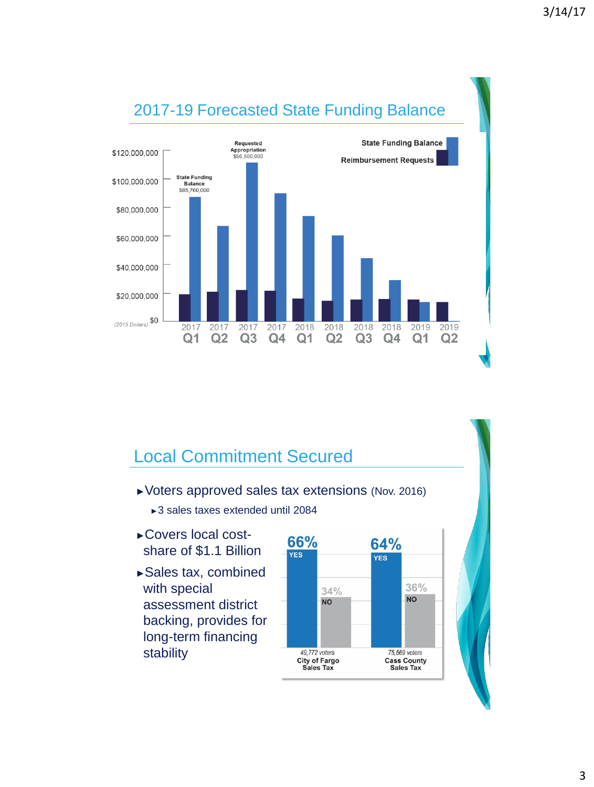

# Local Commitment Secured

- ►Voters approved sales tax extensions (Nov. 2016)
	- ►3 sales taxes extended until 2084
- ►Covers local costshare of \$1.1 Billion
- ►Sales tax, combined with special assessment district backing, provides for long-term financing stability

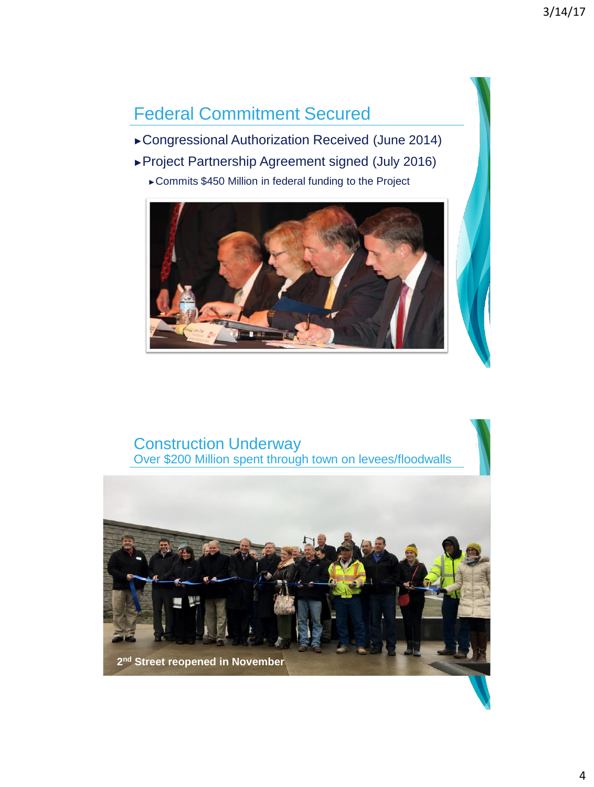# Federal Commitment Secured

- ►Congressional Authorization Received (June 2014)
- ►Project Partnership Agreement signed (July 2016)
	- ►Commits \$450 Million in federal funding to the Project



### Construction Underway Over \$200 Million spent through town on levees/floodwalls

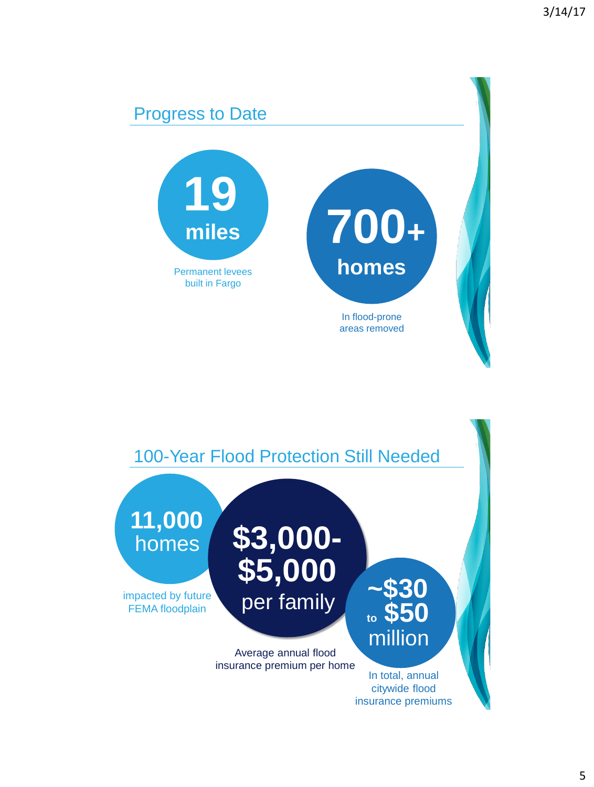# Progress to Date **19** Permanent levees built in Fargo **miles 700<sup>+</sup> homes** In flood-prone areas removed

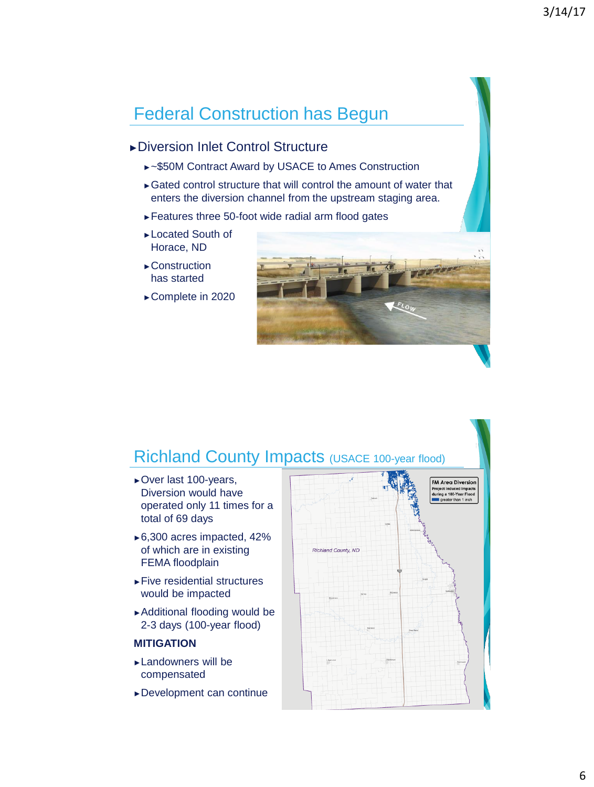# Federal Construction has Begun

### ►Diversion Inlet Control Structure

- ►~\$50M Contract Award by USACE to Ames Construction
- ►Gated control structure that will control the amount of water that enters the diversion channel from the upstream staging area.
- ►Features three 50-foot wide radial arm flood gates
- ►Located South of Horace, ND
- ►Construction has started
- ►Complete in 2020



## Richland County Impacts (USACE 100-year flood)

- ►Over last 100-years, Diversion would have operated only 11 times for a total of 69 days
- ►6,300 acres impacted, 42% of which are in existing FEMA floodplain
- ►Five residential structures would be impacted
- ►Additional flooding would be 2-3 days (100-year flood)

#### **MITIGATION**

- ►Landowners will be compensated
- ►Development can continue